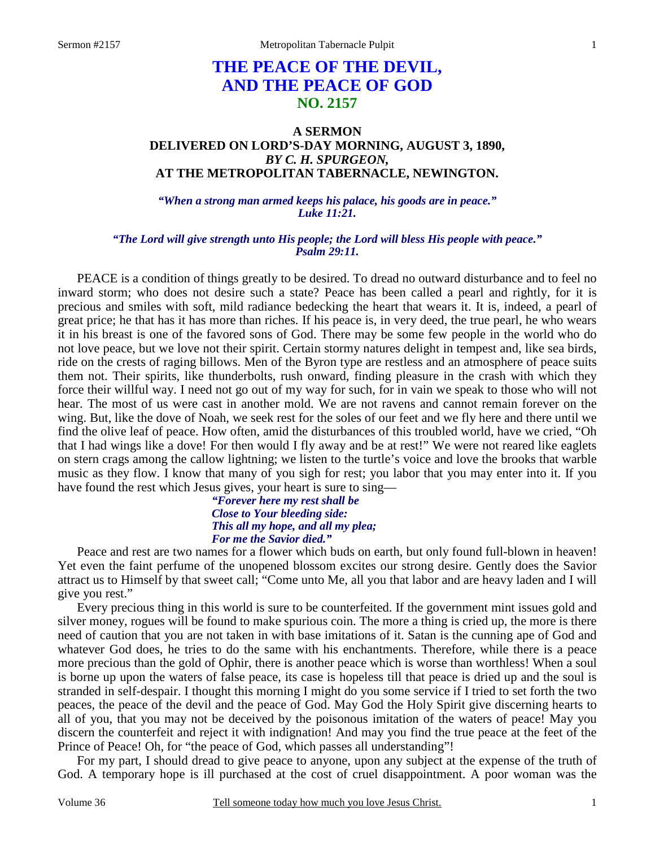# **THE PEACE OF THE DEVIL, AND THE PEACE OF GOD NO. 2157**

## **A SERMON DELIVERED ON LORD'S-DAY MORNING, AUGUST 3, 1890,**  *BY C. H. SPURGEON,*  **AT THE METROPOLITAN TABERNACLE, NEWINGTON.**

*"When a strong man armed keeps his palace, his goods are in peace." Luke 11:21.* 

#### *"The Lord will give strength unto His people; the Lord will bless His people with peace." Psalm 29:11.*

 PEACE is a condition of things greatly to be desired. To dread no outward disturbance and to feel no inward storm; who does not desire such a state? Peace has been called a pearl and rightly, for it is precious and smiles with soft, mild radiance bedecking the heart that wears it. It is, indeed, a pearl of great price; he that has it has more than riches. If his peace is, in very deed, the true pearl, he who wears it in his breast is one of the favored sons of God. There may be some few people in the world who do not love peace, but we love not their spirit. Certain stormy natures delight in tempest and, like sea birds, ride on the crests of raging billows. Men of the Byron type are restless and an atmosphere of peace suits them not. Their spirits, like thunderbolts, rush onward, finding pleasure in the crash with which they force their willful way. I need not go out of my way for such, for in vain we speak to those who will not hear. The most of us were cast in another mold. We are not ravens and cannot remain forever on the wing. But, like the dove of Noah, we seek rest for the soles of our feet and we fly here and there until we find the olive leaf of peace. How often, amid the disturbances of this troubled world, have we cried, "Oh that I had wings like a dove! For then would I fly away and be at rest!" We were not reared like eaglets on stern crags among the callow lightning; we listen to the turtle's voice and love the brooks that warble music as they flow. I know that many of you sigh for rest; you labor that you may enter into it. If you have found the rest which Jesus gives, your heart is sure to sing—

#### *"Forever here my rest shall be Close to Your bleeding side: This all my hope, and all my plea; For me the Savior died."*

Peace and rest are two names for a flower which buds on earth, but only found full-blown in heaven! Yet even the faint perfume of the unopened blossom excites our strong desire. Gently does the Savior attract us to Himself by that sweet call; "Come unto Me, all you that labor and are heavy laden and I will give you rest."

 Every precious thing in this world is sure to be counterfeited. If the government mint issues gold and silver money, rogues will be found to make spurious coin. The more a thing is cried up, the more is there need of caution that you are not taken in with base imitations of it. Satan is the cunning ape of God and whatever God does, he tries to do the same with his enchantments. Therefore, while there is a peace more precious than the gold of Ophir, there is another peace which is worse than worthless! When a soul is borne up upon the waters of false peace, its case is hopeless till that peace is dried up and the soul is stranded in self-despair. I thought this morning I might do you some service if I tried to set forth the two peaces, the peace of the devil and the peace of God. May God the Holy Spirit give discerning hearts to all of you, that you may not be deceived by the poisonous imitation of the waters of peace! May you discern the counterfeit and reject it with indignation! And may you find the true peace at the feet of the Prince of Peace! Oh, for "the peace of God, which passes all understanding"!

 For my part, I should dread to give peace to anyone, upon any subject at the expense of the truth of God. A temporary hope is ill purchased at the cost of cruel disappointment. A poor woman was the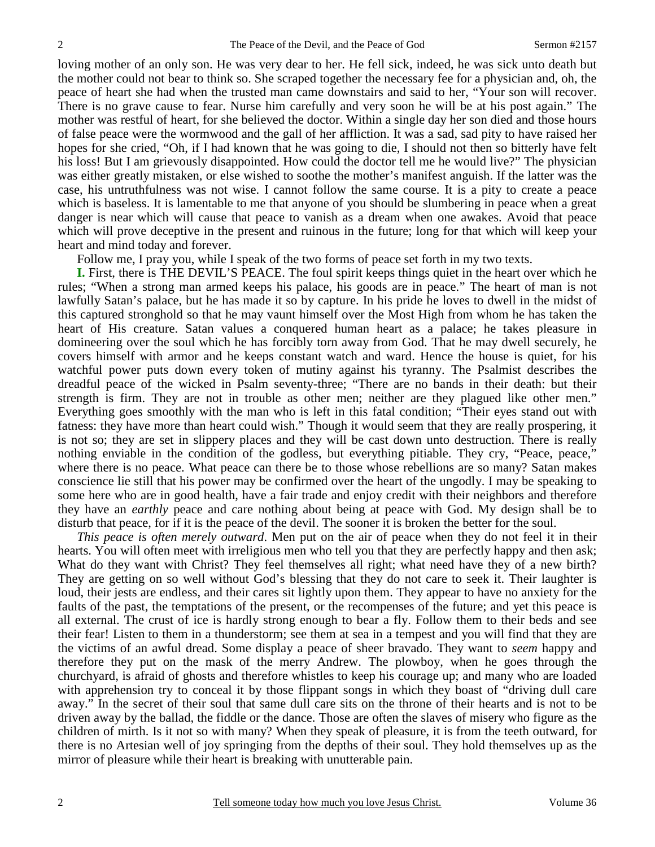loving mother of an only son. He was very dear to her. He fell sick, indeed, he was sick unto death but the mother could not bear to think so. She scraped together the necessary fee for a physician and, oh, the peace of heart she had when the trusted man came downstairs and said to her, "Your son will recover. There is no grave cause to fear. Nurse him carefully and very soon he will be at his post again." The mother was restful of heart, for she believed the doctor. Within a single day her son died and those hours of false peace were the wormwood and the gall of her affliction. It was a sad, sad pity to have raised her hopes for she cried, "Oh, if I had known that he was going to die, I should not then so bitterly have felt his loss! But I am grievously disappointed. How could the doctor tell me he would live?" The physician was either greatly mistaken, or else wished to soothe the mother's manifest anguish. If the latter was the case, his untruthfulness was not wise. I cannot follow the same course. It is a pity to create a peace which is baseless. It is lamentable to me that anyone of you should be slumbering in peace when a great danger is near which will cause that peace to vanish as a dream when one awakes. Avoid that peace which will prove deceptive in the present and ruinous in the future; long for that which will keep your heart and mind today and forever.

Follow me, I pray you, while I speak of the two forms of peace set forth in my two texts.

**I.** First, there is THE DEVIL'S PEACE. The foul spirit keeps things quiet in the heart over which he rules; "When a strong man armed keeps his palace, his goods are in peace." The heart of man is not lawfully Satan's palace, but he has made it so by capture. In his pride he loves to dwell in the midst of this captured stronghold so that he may vaunt himself over the Most High from whom he has taken the heart of His creature. Satan values a conquered human heart as a palace; he takes pleasure in domineering over the soul which he has forcibly torn away from God. That he may dwell securely, he covers himself with armor and he keeps constant watch and ward. Hence the house is quiet, for his watchful power puts down every token of mutiny against his tyranny. The Psalmist describes the dreadful peace of the wicked in Psalm seventy-three; "There are no bands in their death: but their strength is firm. They are not in trouble as other men; neither are they plagued like other men." Everything goes smoothly with the man who is left in this fatal condition; "Their eyes stand out with fatness: they have more than heart could wish." Though it would seem that they are really prospering, it is not so; they are set in slippery places and they will be cast down unto destruction. There is really nothing enviable in the condition of the godless, but everything pitiable. They cry, "Peace, peace," where there is no peace. What peace can there be to those whose rebellions are so many? Satan makes conscience lie still that his power may be confirmed over the heart of the ungodly. I may be speaking to some here who are in good health, have a fair trade and enjoy credit with their neighbors and therefore they have an *earthly* peace and care nothing about being at peace with God. My design shall be to disturb that peace, for if it is the peace of the devil. The sooner it is broken the better for the soul.

*This peace is often merely outward*. Men put on the air of peace when they do not feel it in their hearts. You will often meet with irreligious men who tell you that they are perfectly happy and then ask; What do they want with Christ? They feel themselves all right; what need have they of a new birth? They are getting on so well without God's blessing that they do not care to seek it. Their laughter is loud, their jests are endless, and their cares sit lightly upon them. They appear to have no anxiety for the faults of the past, the temptations of the present, or the recompenses of the future; and yet this peace is all external. The crust of ice is hardly strong enough to bear a fly. Follow them to their beds and see their fear! Listen to them in a thunderstorm; see them at sea in a tempest and you will find that they are the victims of an awful dread. Some display a peace of sheer bravado. They want to *seem* happy and therefore they put on the mask of the merry Andrew. The plowboy, when he goes through the churchyard, is afraid of ghosts and therefore whistles to keep his courage up; and many who are loaded with apprehension try to conceal it by those flippant songs in which they boast of "driving dull care" away." In the secret of their soul that same dull care sits on the throne of their hearts and is not to be driven away by the ballad, the fiddle or the dance. Those are often the slaves of misery who figure as the children of mirth. Is it not so with many? When they speak of pleasure, it is from the teeth outward, for there is no Artesian well of joy springing from the depths of their soul. They hold themselves up as the mirror of pleasure while their heart is breaking with unutterable pain.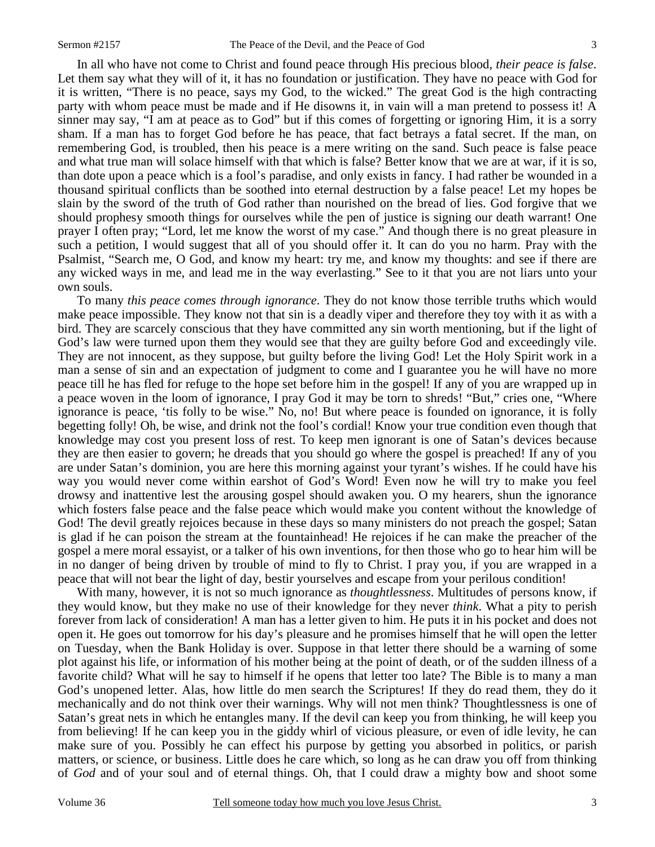In all who have not come to Christ and found peace through His precious blood, *their peace is false*. Let them say what they will of it, it has no foundation or justification. They have no peace with God for it is written, "There is no peace, says my God, to the wicked." The great God is the high contracting party with whom peace must be made and if He disowns it, in vain will a man pretend to possess it! A sinner may say, "I am at peace as to God" but if this comes of forgetting or ignoring Him, it is a sorry sham. If a man has to forget God before he has peace, that fact betrays a fatal secret. If the man, on remembering God, is troubled, then his peace is a mere writing on the sand. Such peace is false peace and what true man will solace himself with that which is false? Better know that we are at war, if it is so, than dote upon a peace which is a fool's paradise, and only exists in fancy. I had rather be wounded in a thousand spiritual conflicts than be soothed into eternal destruction by a false peace! Let my hopes be slain by the sword of the truth of God rather than nourished on the bread of lies. God forgive that we should prophesy smooth things for ourselves while the pen of justice is signing our death warrant! One prayer I often pray; "Lord, let me know the worst of my case." And though there is no great pleasure in such a petition, I would suggest that all of you should offer it. It can do you no harm. Pray with the Psalmist, "Search me, O God, and know my heart: try me, and know my thoughts: and see if there are any wicked ways in me, and lead me in the way everlasting." See to it that you are not liars unto your own souls.

 To many *this peace comes through ignorance*. They do not know those terrible truths which would make peace impossible. They know not that sin is a deadly viper and therefore they toy with it as with a bird. They are scarcely conscious that they have committed any sin worth mentioning, but if the light of God's law were turned upon them they would see that they are guilty before God and exceedingly vile. They are not innocent, as they suppose, but guilty before the living God! Let the Holy Spirit work in a man a sense of sin and an expectation of judgment to come and I guarantee you he will have no more peace till he has fled for refuge to the hope set before him in the gospel! If any of you are wrapped up in a peace woven in the loom of ignorance, I pray God it may be torn to shreds! "But," cries one, "Where ignorance is peace, 'tis folly to be wise." No, no! But where peace is founded on ignorance, it is folly begetting folly! Oh, be wise, and drink not the fool's cordial! Know your true condition even though that knowledge may cost you present loss of rest. To keep men ignorant is one of Satan's devices because they are then easier to govern; he dreads that you should go where the gospel is preached! If any of you are under Satan's dominion, you are here this morning against your tyrant's wishes. If he could have his way you would never come within earshot of God's Word! Even now he will try to make you feel drowsy and inattentive lest the arousing gospel should awaken you. O my hearers, shun the ignorance which fosters false peace and the false peace which would make you content without the knowledge of God! The devil greatly rejoices because in these days so many ministers do not preach the gospel; Satan is glad if he can poison the stream at the fountainhead! He rejoices if he can make the preacher of the gospel a mere moral essayist, or a talker of his own inventions, for then those who go to hear him will be in no danger of being driven by trouble of mind to fly to Christ. I pray you, if you are wrapped in a peace that will not bear the light of day, bestir yourselves and escape from your perilous condition!

 With many, however, it is not so much ignorance as *thoughtlessness*. Multitudes of persons know, if they would know, but they make no use of their knowledge for they never *think*. What a pity to perish forever from lack of consideration! A man has a letter given to him. He puts it in his pocket and does not open it. He goes out tomorrow for his day's pleasure and he promises himself that he will open the letter on Tuesday, when the Bank Holiday is over. Suppose in that letter there should be a warning of some plot against his life, or information of his mother being at the point of death, or of the sudden illness of a favorite child? What will he say to himself if he opens that letter too late? The Bible is to many a man God's unopened letter. Alas, how little do men search the Scriptures! If they do read them, they do it mechanically and do not think over their warnings. Why will not men think? Thoughtlessness is one of Satan's great nets in which he entangles many. If the devil can keep you from thinking, he will keep you from believing! If he can keep you in the giddy whirl of vicious pleasure, or even of idle levity, he can make sure of you. Possibly he can effect his purpose by getting you absorbed in politics, or parish matters, or science, or business. Little does he care which, so long as he can draw you off from thinking of *God* and of your soul and of eternal things. Oh, that I could draw a mighty bow and shoot some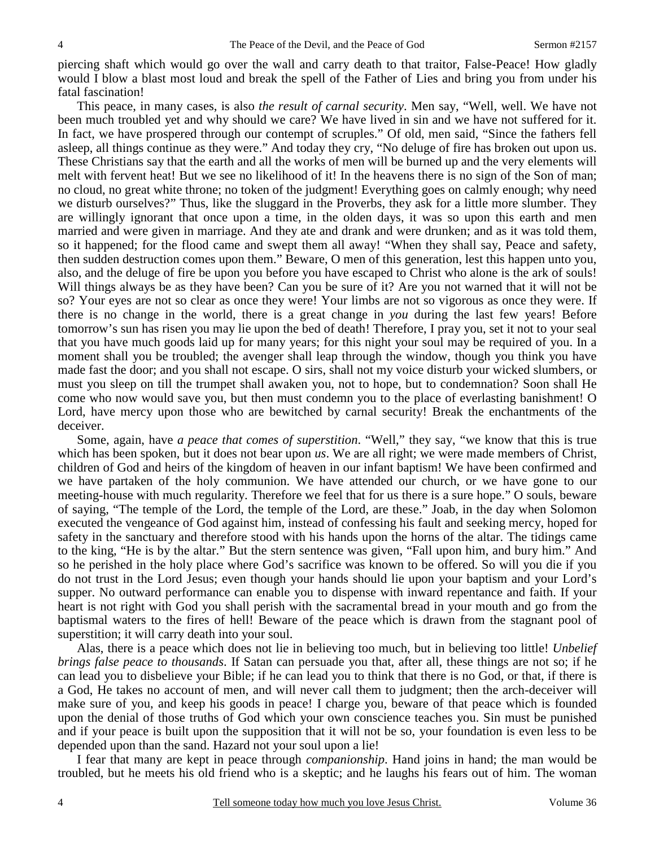piercing shaft which would go over the wall and carry death to that traitor, False-Peace! How gladly would I blow a blast most loud and break the spell of the Father of Lies and bring you from under his fatal fascination!

 This peace, in many cases, is also *the result of carnal security*. Men say, "Well, well. We have not been much troubled yet and why should we care? We have lived in sin and we have not suffered for it. In fact, we have prospered through our contempt of scruples." Of old, men said, "Since the fathers fell asleep, all things continue as they were." And today they cry, "No deluge of fire has broken out upon us. These Christians say that the earth and all the works of men will be burned up and the very elements will melt with fervent heat! But we see no likelihood of it! In the heavens there is no sign of the Son of man; no cloud, no great white throne; no token of the judgment! Everything goes on calmly enough; why need we disturb ourselves?" Thus, like the sluggard in the Proverbs, they ask for a little more slumber. They are willingly ignorant that once upon a time, in the olden days, it was so upon this earth and men married and were given in marriage. And they ate and drank and were drunken; and as it was told them, so it happened; for the flood came and swept them all away! "When they shall say, Peace and safety, then sudden destruction comes upon them." Beware, O men of this generation, lest this happen unto you, also, and the deluge of fire be upon you before you have escaped to Christ who alone is the ark of souls! Will things always be as they have been? Can you be sure of it? Are you not warned that it will not be so? Your eyes are not so clear as once they were! Your limbs are not so vigorous as once they were. If there is no change in the world, there is a great change in *you* during the last few years! Before tomorrow's sun has risen you may lie upon the bed of death! Therefore, I pray you, set it not to your seal that you have much goods laid up for many years; for this night your soul may be required of you. In a moment shall you be troubled; the avenger shall leap through the window, though you think you have made fast the door; and you shall not escape. O sirs, shall not my voice disturb your wicked slumbers, or must you sleep on till the trumpet shall awaken you, not to hope, but to condemnation? Soon shall He come who now would save you, but then must condemn you to the place of everlasting banishment! O Lord, have mercy upon those who are bewitched by carnal security! Break the enchantments of the deceiver.

 Some, again, have *a peace that comes of superstition*. "Well," they say, "we know that this is true which has been spoken, but it does not bear upon *us*. We are all right; we were made members of Christ, children of God and heirs of the kingdom of heaven in our infant baptism! We have been confirmed and we have partaken of the holy communion. We have attended our church, or we have gone to our meeting-house with much regularity. Therefore we feel that for us there is a sure hope." O souls, beware of saying, "The temple of the Lord, the temple of the Lord, are these." Joab, in the day when Solomon executed the vengeance of God against him, instead of confessing his fault and seeking mercy, hoped for safety in the sanctuary and therefore stood with his hands upon the horns of the altar. The tidings came to the king, "He is by the altar." But the stern sentence was given, "Fall upon him, and bury him." And so he perished in the holy place where God's sacrifice was known to be offered. So will you die if you do not trust in the Lord Jesus; even though your hands should lie upon your baptism and your Lord's supper. No outward performance can enable you to dispense with inward repentance and faith. If your heart is not right with God you shall perish with the sacramental bread in your mouth and go from the baptismal waters to the fires of hell! Beware of the peace which is drawn from the stagnant pool of superstition; it will carry death into your soul.

 Alas, there is a peace which does not lie in believing too much, but in believing too little! *Unbelief brings false peace to thousands*. If Satan can persuade you that, after all, these things are not so; if he can lead you to disbelieve your Bible; if he can lead you to think that there is no God, or that, if there is a God, He takes no account of men, and will never call them to judgment; then the arch-deceiver will make sure of you, and keep his goods in peace! I charge you, beware of that peace which is founded upon the denial of those truths of God which your own conscience teaches you. Sin must be punished and if your peace is built upon the supposition that it will not be so, your foundation is even less to be depended upon than the sand. Hazard not your soul upon a lie!

 I fear that many are kept in peace through *companionship*. Hand joins in hand; the man would be troubled, but he meets his old friend who is a skeptic; and he laughs his fears out of him. The woman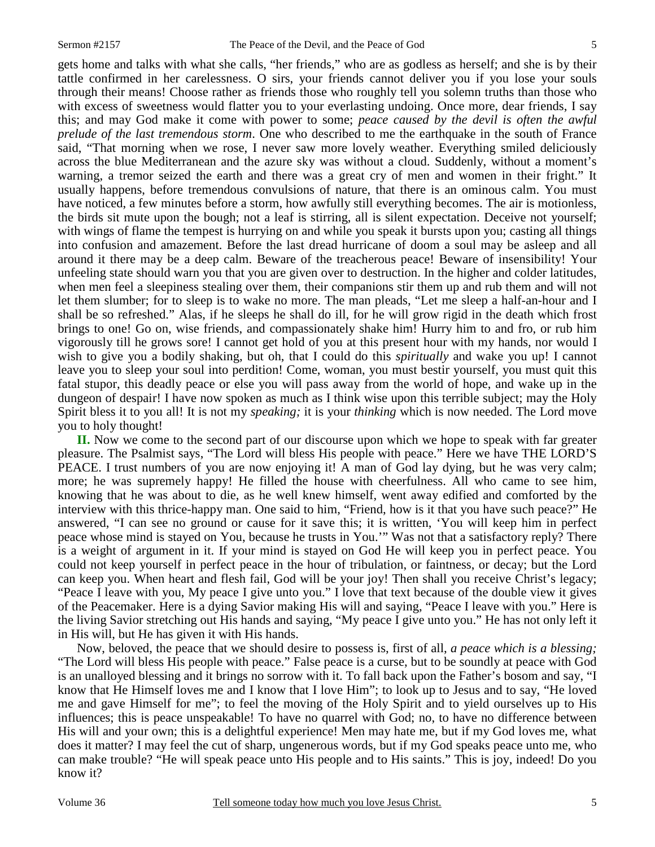gets home and talks with what she calls, "her friends," who are as godless as herself; and she is by their tattle confirmed in her carelessness. O sirs, your friends cannot deliver you if you lose your souls through their means! Choose rather as friends those who roughly tell you solemn truths than those who with excess of sweetness would flatter you to your everlasting undoing. Once more, dear friends, I say this; and may God make it come with power to some; *peace caused by the devil is often the awful prelude of the last tremendous storm*. One who described to me the earthquake in the south of France said, "That morning when we rose, I never saw more lovely weather. Everything smiled deliciously across the blue Mediterranean and the azure sky was without a cloud. Suddenly, without a moment's warning, a tremor seized the earth and there was a great cry of men and women in their fright." It usually happens, before tremendous convulsions of nature, that there is an ominous calm. You must have noticed, a few minutes before a storm, how awfully still everything becomes. The air is motionless, the birds sit mute upon the bough; not a leaf is stirring, all is silent expectation. Deceive not yourself; with wings of flame the tempest is hurrying on and while you speak it bursts upon you; casting all things into confusion and amazement. Before the last dread hurricane of doom a soul may be asleep and all around it there may be a deep calm. Beware of the treacherous peace! Beware of insensibility! Your unfeeling state should warn you that you are given over to destruction. In the higher and colder latitudes, when men feel a sleepiness stealing over them, their companions stir them up and rub them and will not let them slumber; for to sleep is to wake no more. The man pleads, "Let me sleep a half-an-hour and I shall be so refreshed." Alas, if he sleeps he shall do ill, for he will grow rigid in the death which frost brings to one! Go on, wise friends, and compassionately shake him! Hurry him to and fro, or rub him vigorously till he grows sore! I cannot get hold of you at this present hour with my hands, nor would I wish to give you a bodily shaking, but oh, that I could do this *spiritually* and wake you up! I cannot leave you to sleep your soul into perdition! Come, woman, you must bestir yourself, you must quit this fatal stupor, this deadly peace or else you will pass away from the world of hope, and wake up in the dungeon of despair! I have now spoken as much as I think wise upon this terrible subject; may the Holy Spirit bless it to you all! It is not my *speaking;* it is your *thinking* which is now needed. The Lord move you to holy thought!

**II.** Now we come to the second part of our discourse upon which we hope to speak with far greater pleasure. The Psalmist says, "The Lord will bless His people with peace." Here we have THE LORD'S PEACE. I trust numbers of you are now enjoying it! A man of God lay dying, but he was very calm; more; he was supremely happy! He filled the house with cheerfulness. All who came to see him, knowing that he was about to die, as he well knew himself, went away edified and comforted by the interview with this thrice-happy man. One said to him, "Friend, how is it that you have such peace?" He answered, "I can see no ground or cause for it save this; it is written, 'You will keep him in perfect peace whose mind is stayed on You, because he trusts in You.'" Was not that a satisfactory reply? There is a weight of argument in it. If your mind is stayed on God He will keep you in perfect peace. You could not keep yourself in perfect peace in the hour of tribulation, or faintness, or decay; but the Lord can keep you. When heart and flesh fail, God will be your joy! Then shall you receive Christ's legacy; "Peace I leave with you, My peace I give unto you." I love that text because of the double view it gives of the Peacemaker. Here is a dying Savior making His will and saying, "Peace I leave with you." Here is the living Savior stretching out His hands and saying, "My peace I give unto you." He has not only left it in His will, but He has given it with His hands.

 Now, beloved, the peace that we should desire to possess is, first of all, *a peace which is a blessing;*  "The Lord will bless His people with peace." False peace is a curse, but to be soundly at peace with God is an unalloyed blessing and it brings no sorrow with it. To fall back upon the Father's bosom and say, "I know that He Himself loves me and I know that I love Him"; to look up to Jesus and to say, "He loved me and gave Himself for me"; to feel the moving of the Holy Spirit and to yield ourselves up to His influences; this is peace unspeakable! To have no quarrel with God; no, to have no difference between His will and your own; this is a delightful experience! Men may hate me, but if my God loves me, what does it matter? I may feel the cut of sharp, ungenerous words, but if my God speaks peace unto me, who can make trouble? "He will speak peace unto His people and to His saints." This is joy, indeed! Do you know it?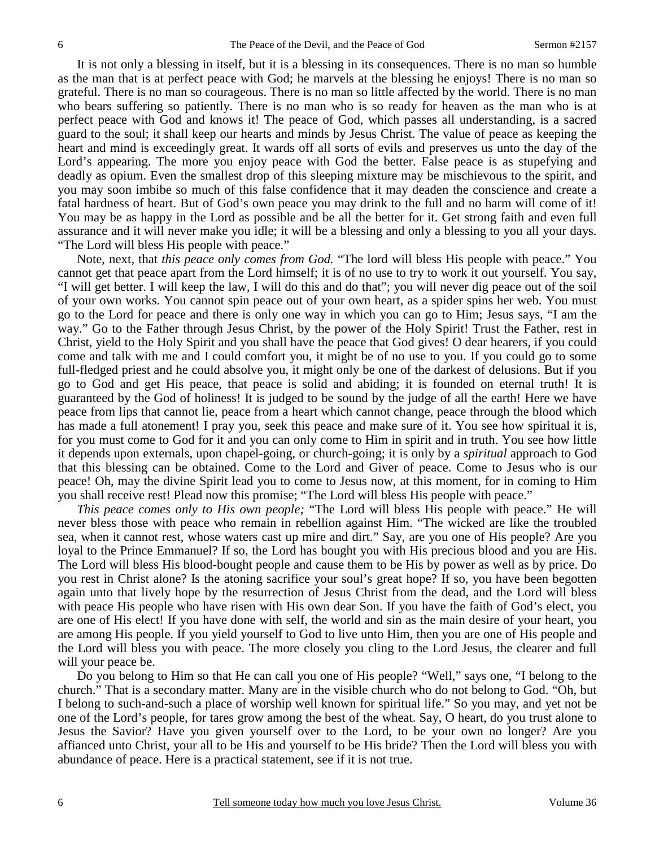It is not only a blessing in itself, but it is a blessing in its consequences. There is no man so humble as the man that is at perfect peace with God; he marvels at the blessing he enjoys! There is no man so grateful. There is no man so courageous. There is no man so little affected by the world. There is no man who bears suffering so patiently. There is no man who is so ready for heaven as the man who is at perfect peace with God and knows it! The peace of God, which passes all understanding, is a sacred guard to the soul; it shall keep our hearts and minds by Jesus Christ. The value of peace as keeping the heart and mind is exceedingly great. It wards off all sorts of evils and preserves us unto the day of the Lord's appearing. The more you enjoy peace with God the better. False peace is as stupefying and deadly as opium. Even the smallest drop of this sleeping mixture may be mischievous to the spirit, and you may soon imbibe so much of this false confidence that it may deaden the conscience and create a fatal hardness of heart. But of God's own peace you may drink to the full and no harm will come of it! You may be as happy in the Lord as possible and be all the better for it. Get strong faith and even full assurance and it will never make you idle; it will be a blessing and only a blessing to you all your days. "The Lord will bless His people with peace."

 Note, next, that *this peace only comes from God.* "The lord will bless His people with peace." You cannot get that peace apart from the Lord himself; it is of no use to try to work it out yourself. You say, "I will get better. I will keep the law, I will do this and do that"; you will never dig peace out of the soil of your own works. You cannot spin peace out of your own heart, as a spider spins her web. You must go to the Lord for peace and there is only one way in which you can go to Him; Jesus says, "I am the way." Go to the Father through Jesus Christ, by the power of the Holy Spirit! Trust the Father, rest in Christ, yield to the Holy Spirit and you shall have the peace that God gives! O dear hearers, if you could come and talk with me and I could comfort you, it might be of no use to you. If you could go to some full-fledged priest and he could absolve you, it might only be one of the darkest of delusions. But if you go to God and get His peace, that peace is solid and abiding; it is founded on eternal truth! It is guaranteed by the God of holiness! It is judged to be sound by the judge of all the earth! Here we have peace from lips that cannot lie, peace from a heart which cannot change, peace through the blood which has made a full atonement! I pray you, seek this peace and make sure of it. You see how spiritual it is, for you must come to God for it and you can only come to Him in spirit and in truth. You see how little it depends upon externals, upon chapel-going, or church-going; it is only by a *spiritual* approach to God that this blessing can be obtained. Come to the Lord and Giver of peace. Come to Jesus who is our peace! Oh, may the divine Spirit lead you to come to Jesus now, at this moment, for in coming to Him you shall receive rest! Plead now this promise; "The Lord will bless His people with peace."

*This peace comes only to His own people;* "The Lord will bless His people with peace." He will never bless those with peace who remain in rebellion against Him. "The wicked are like the troubled sea, when it cannot rest, whose waters cast up mire and dirt." Say, are you one of His people? Are you loyal to the Prince Emmanuel? If so, the Lord has bought you with His precious blood and you are His. The Lord will bless His blood-bought people and cause them to be His by power as well as by price. Do you rest in Christ alone? Is the atoning sacrifice your soul's great hope? If so, you have been begotten again unto that lively hope by the resurrection of Jesus Christ from the dead, and the Lord will bless with peace His people who have risen with His own dear Son. If you have the faith of God's elect, you are one of His elect! If you have done with self, the world and sin as the main desire of your heart, you are among His people. If you yield yourself to God to live unto Him, then you are one of His people and the Lord will bless you with peace. The more closely you cling to the Lord Jesus, the clearer and full will your peace be.

 Do you belong to Him so that He can call you one of His people? "Well," says one, "I belong to the church." That is a secondary matter. Many are in the visible church who do not belong to God. "Oh, but I belong to such-and-such a place of worship well known for spiritual life." So you may, and yet not be one of the Lord's people, for tares grow among the best of the wheat. Say, O heart, do you trust alone to Jesus the Savior? Have you given yourself over to the Lord, to be your own no longer? Are you affianced unto Christ, your all to be His and yourself to be His bride? Then the Lord will bless you with abundance of peace. Here is a practical statement, see if it is not true.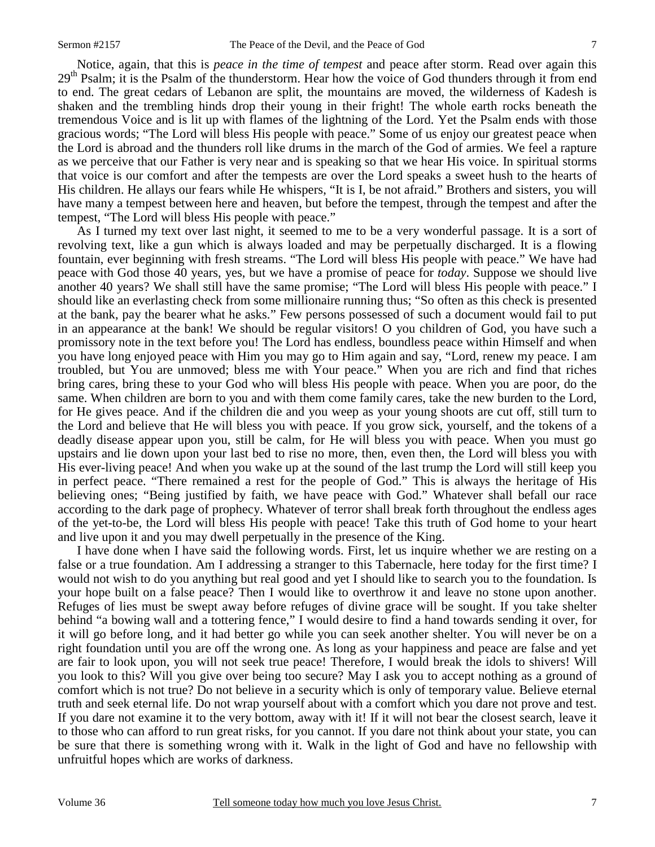Notice, again, that this is *peace in the time of tempest* and peace after storm. Read over again this 29<sup>th</sup> Psalm; it is the Psalm of the thunderstorm. Hear how the voice of God thunders through it from end to end. The great cedars of Lebanon are split, the mountains are moved, the wilderness of Kadesh is shaken and the trembling hinds drop their young in their fright! The whole earth rocks beneath the tremendous Voice and is lit up with flames of the lightning of the Lord. Yet the Psalm ends with those gracious words; "The Lord will bless His people with peace." Some of us enjoy our greatest peace when the Lord is abroad and the thunders roll like drums in the march of the God of armies. We feel a rapture as we perceive that our Father is very near and is speaking so that we hear His voice. In spiritual storms that voice is our comfort and after the tempests are over the Lord speaks a sweet hush to the hearts of His children. He allays our fears while He whispers, "It is I, be not afraid." Brothers and sisters, you will have many a tempest between here and heaven, but before the tempest, through the tempest and after the tempest, "The Lord will bless His people with peace."

 As I turned my text over last night, it seemed to me to be a very wonderful passage. It is a sort of revolving text, like a gun which is always loaded and may be perpetually discharged. It is a flowing fountain, ever beginning with fresh streams. "The Lord will bless His people with peace." We have had peace with God those 40 years, yes, but we have a promise of peace for *today*. Suppose we should live another 40 years? We shall still have the same promise; "The Lord will bless His people with peace." I should like an everlasting check from some millionaire running thus; "So often as this check is presented at the bank, pay the bearer what he asks." Few persons possessed of such a document would fail to put in an appearance at the bank! We should be regular visitors! O you children of God, you have such a promissory note in the text before you! The Lord has endless, boundless peace within Himself and when you have long enjoyed peace with Him you may go to Him again and say, "Lord, renew my peace. I am troubled, but You are unmoved; bless me with Your peace." When you are rich and find that riches bring cares, bring these to your God who will bless His people with peace. When you are poor, do the same. When children are born to you and with them come family cares, take the new burden to the Lord, for He gives peace. And if the children die and you weep as your young shoots are cut off, still turn to the Lord and believe that He will bless you with peace. If you grow sick, yourself, and the tokens of a deadly disease appear upon you, still be calm, for He will bless you with peace. When you must go upstairs and lie down upon your last bed to rise no more, then, even then, the Lord will bless you with His ever-living peace! And when you wake up at the sound of the last trump the Lord will still keep you in perfect peace. "There remained a rest for the people of God." This is always the heritage of His believing ones; "Being justified by faith, we have peace with God." Whatever shall befall our race according to the dark page of prophecy. Whatever of terror shall break forth throughout the endless ages of the yet-to-be, the Lord will bless His people with peace! Take this truth of God home to your heart and live upon it and you may dwell perpetually in the presence of the King.

 I have done when I have said the following words. First, let us inquire whether we are resting on a false or a true foundation. Am I addressing a stranger to this Tabernacle, here today for the first time? I would not wish to do you anything but real good and yet I should like to search you to the foundation. Is your hope built on a false peace? Then I would like to overthrow it and leave no stone upon another. Refuges of lies must be swept away before refuges of divine grace will be sought. If you take shelter behind "a bowing wall and a tottering fence," I would desire to find a hand towards sending it over, for it will go before long, and it had better go while you can seek another shelter. You will never be on a right foundation until you are off the wrong one. As long as your happiness and peace are false and yet are fair to look upon, you will not seek true peace! Therefore, I would break the idols to shivers! Will you look to this? Will you give over being too secure? May I ask you to accept nothing as a ground of comfort which is not true? Do not believe in a security which is only of temporary value. Believe eternal truth and seek eternal life. Do not wrap yourself about with a comfort which you dare not prove and test. If you dare not examine it to the very bottom, away with it! If it will not bear the closest search, leave it to those who can afford to run great risks, for you cannot. If you dare not think about your state, you can be sure that there is something wrong with it. Walk in the light of God and have no fellowship with unfruitful hopes which are works of darkness.